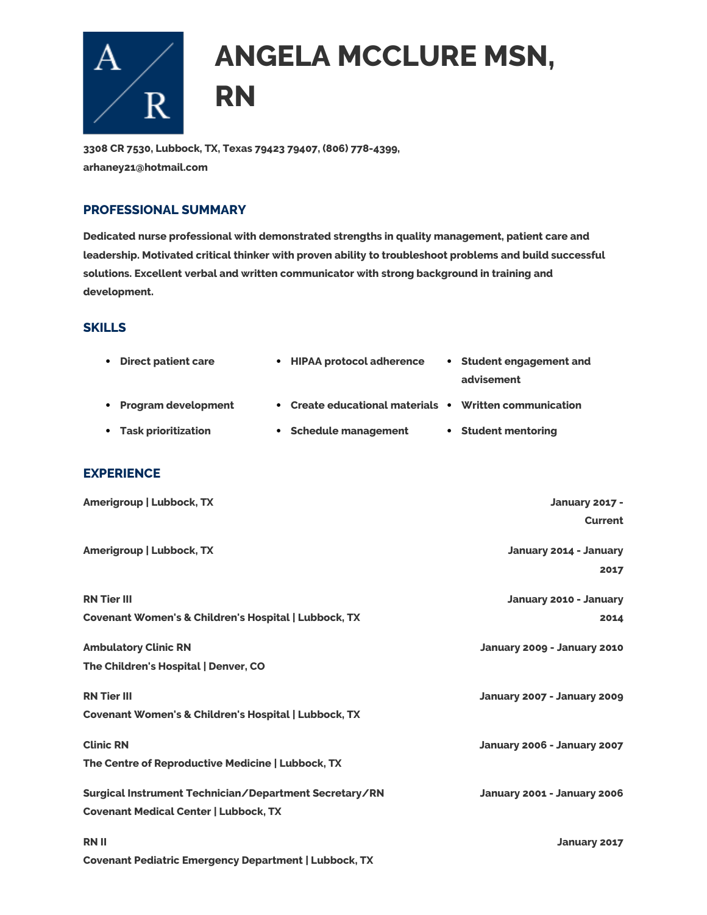

# **ANGELA MCCLURE MSN, RN**

**3308 CR 7530, Lubbock, TX, Texas 79423 79407, (806) 778-4399, arhaney21@hotmail.com**

### **PROFESSIONAL SUMMARY**

**Dedicated nurse professional with demonstrated strengths in quality management, patient care and leadership. Motivated critical thinker with proven ability to troubleshoot problems and build successful solutions. Excellent verbal and written communicator with strong background in training and development.**

#### **SKILLS**

| <b>Direct patient care</b><br>$\bullet$                         | • HIPAA protocol adherence                             | • Student engagement and<br>advisement |
|-----------------------------------------------------------------|--------------------------------------------------------|----------------------------------------|
| <b>Program development</b><br>$\bullet$                         | • Create educational materials • Written communication |                                        |
| <b>Task prioritization</b><br>$\bullet$                         | • Schedule management                                  | • Student mentoring                    |
| <b>EXPERIENCE</b>                                               |                                                        |                                        |
| Amerigroup   Lubbock, TX                                        |                                                        | <b>January 2017 -</b>                  |
|                                                                 |                                                        | <b>Current</b>                         |
| <b>Amerigroup   Lubbock, TX</b>                                 |                                                        | January 2014 - January                 |
|                                                                 |                                                        | 2017                                   |
| <b>RN Tier III</b>                                              |                                                        | January 2010 - January                 |
| <b>Covenant Women's &amp; Children's Hospital   Lubbock, TX</b> |                                                        | 2014                                   |
| <b>Ambulatory Clinic RN</b>                                     |                                                        | January 2009 - January 2010            |
| The Children's Hospital   Denver, CO                            |                                                        |                                        |
| <b>RN Tier III</b>                                              |                                                        | January 2007 - January 2009            |
| <b>Covenant Women's &amp; Children's Hospital   Lubbock, TX</b> |                                                        |                                        |
| <b>Clinic RN</b>                                                |                                                        | January 2006 - January 2007            |
| The Centre of Reproductive Medicine   Lubbock, TX               |                                                        |                                        |
| Surgical Instrument Technician/Department Secretary/RN          |                                                        | January 2001 - January 2006            |
| <b>Covenant Medical Center   Lubbock, TX</b>                    |                                                        |                                        |
| <b>RNII</b>                                                     |                                                        | January 2017                           |
| <b>Covenant Pediatric Emergency Department   Lubbock, TX</b>    |                                                        |                                        |